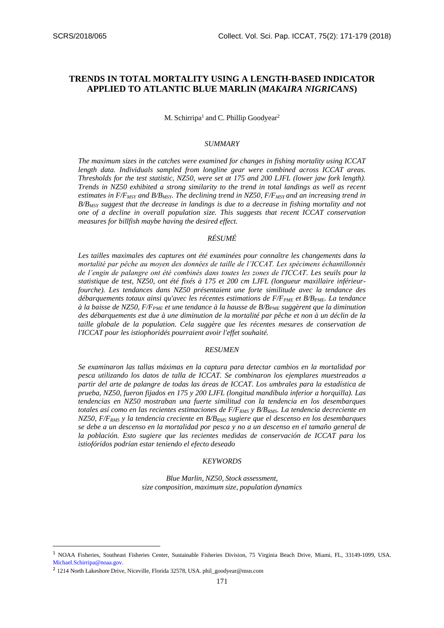# **TRENDS IN TOTAL MORTALITY USING A LENGTH-BASED INDICATOR APPLIED TO ATLANTIC BLUE MARLIN (***MAKAIRA NIGRICANS***)**

M. Schirripa<sup>1</sup> and C. Phillip Goodyear<sup>2</sup>

## *SUMMARY*

*The maximum sizes in the catches were examined for changes in fishing mortality using ICCAT length data. Individuals sampled from longline gear were combined across ICCAT areas. Thresholds for the test statistic, NZ50, were set at 175 and 200 LJFL (lower jaw fork length). Trends in NZ50 exhibited a strong similarity to the trend in total landings as well as recent estimates in F/FMSY and B/BMSY. The declining trend in NZ50, F/FMSY and an increasing trend in B/BMSY suggest that the decrease in landings is due to a decrease in fishing mortality and not one of a decline in overall population size. This suggests that recent ICCAT conservation measures for billfish maybe having the desired effect.*

## *RÉSUMÉ*

Les tailles maximales des captures ont été examinées pour connaître les changements dans la *mortalité par pêche au moyen des données de taille de l'ICCAT. Les spécimens échantillonnés de l'engin de palangre ont été combinés dans toutes les zones de l'ICCAT. Les seuils pour la statistique de test, NZ50, ont été fixés à 175 et 200 cm LJFL (longueur maxillaire inférieurfourche). Les tendances dans NZ50 présentaient une forte similitude avec la tendance des débarquements totaux ainsi qu'avec les récentes estimations de F/FPME et B/BPME. La tendance à la baisse de NZ50, F/FPME et une tendance à la hausse de B/BPME suggèrent que la diminution des débarquements est due à une diminution de la mortalité par pêche et non à un déclin de la taille globale de la population. Cela suggère que les récentes mesures de conservation de l'ICCAT pour les istiophoridés pourraient avoir l'effet souhaité.*

# *RESUMEN*

*Se examinaron las tallas máximas en la captura para detectar cambios en la mortalidad por pesca utilizando los datos de talla de ICCAT. Se combinaron los ejemplares muestreados a partir del arte de palangre de todas las áreas de ICCAT. Los umbrales para la estadística de prueba, NZ50, fueron fijados en 175 y 200 LJFL (longitud mandíbula inferior a horquilla). Las tendencias en NZ50 mostraban una fuerte similitud con la tendencia en los desembarques totales así como en las recientes estimaciones de F/FRMS y B/BRMS. La tendencia decreciente en NZ50, F/FRMS y la tendencia creciente en B/BRMS sugiere que el descenso en los desembarques se debe a un descenso en la mortalidad por pesca y no a un descenso en el tamaño general de la población. Esto sugiere que las recientes medidas de conservación de ICCAT para los istiofóridos podrían estar teniendo el efecto deseado*

## *KEYWORDS*

*Blue Marlin, NZ50, Stock assessment, size composition, maximum size, population dynamics*

**.** 

<sup>1</sup> NOAA Fisheries, Southeast Fisheries Center, Sustainable Fisheries Division, 75 Virginia Beach Drive, Miami, FL, 33149-1099, USA. [Michael.Schirripa@noaa.gov.](mailto:Michael.Schirripa@noaa.gov)

<sup>&</sup>lt;sup>2</sup> 1214 North Lakeshore Drive, Niceville, Florida 32578, USA. [phil\\_goodyear@msn.com](mailto:phil_goodyear@msn.com)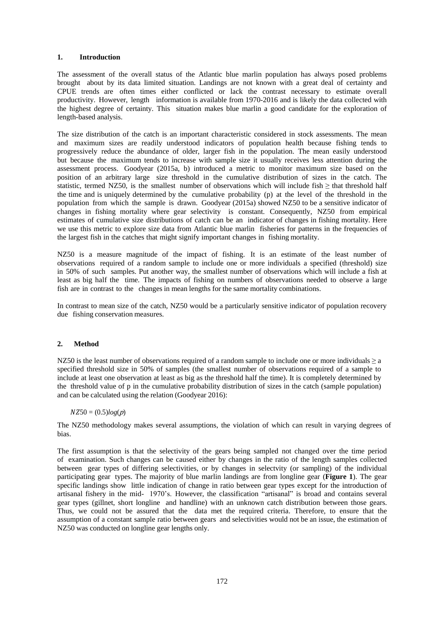## **1. Introduction**

The assessment of the overall status of the Atlantic blue marlin population has always posed problems brought about by its data limited situation. Landings are not known with a great deal of certainty and CPUE trends are often times either conflicted or lack the contrast necessary to estimate overall productivity. However, length information is available from 1970-2016 and is likely the data collected with the highest degree of certainty. This situation makes blue marlin a good candidate for the exploration of length-based analysis.

The size distribution of the catch is an important characteristic considered in stock assessments. The mean and maximum sizes are readily understood indicators of population health because fishing tends to progressively reduce the abundance of older, larger fish in the population. The mean easily understood but because the maximum tends to increase with sample size it usually receives less attention during the assessment process. Goodyear (2015a, b) introduced a metric to monitor maximum size based on the position of an arbitrary large size threshold in the cumulative distribution of sizes in the catch. The statistic, termed NZ50, is the smallest number of observations which will include fish  $\geq$  that threshold half the time and is uniquely determined by the cumulative probability (p) at the level of the threshold in the population from which the sample is drawn. Goodyear (2015a) showed NZ50 to be a sensitive indicator of changes in fishing mortality where gear selectivity is constant. Consequently, NZ50 from empirical estimates of cumulative size distributions of catch can be an indicator of changes in fishing mortality. Here we use this metric to explore size data from Atlantic blue marlin fisheries for patterns in the frequencies of the largest fish in the catches that might signify important changes in fishing mortality.

NZ50 is a measure magnitude of the impact of fishing. It is an estimate of the least number of observations required of a random sample to include one or more individuals a specified (threshold) size in 50% of such samples. Put another way, the smallest number of observations which will include a fish at least as big half the time. The impacts of fishing on numbers of observations needed to observe a large fish are in contrast to the changes in mean lengths for the same mortality combinations.

In contrast to mean size of the catch, NZ50 would be a particularly sensitive indicator of population recovery due fishing conservation measures.

# **2. Method**

NZ50 is the least number of observations required of a random sample to include one or more individuals  $\ge a$ specified threshold size in 50% of samples (the smallest number of observations required of a sample to include at least one observation at least as big as the threshold half the time). It is completely determined by the threshold value of p in the cumulative probability distribution of sizes in the catch (sample population) and can be calculated using the relation (Goodyear 2016):

## $NZ50 = (0.5)log(p)$

The NZ50 methodology makes several assumptions, the violation of which can result in varying degrees of bias.

The first assumption is that the selectivity of the gears being sampled not changed over the time period of examination. Such changes can be caused either by changes in the ratio of the length samples collected between gear types of differing selectivities, or by changes in selectvity (or sampling) of the individual participating gear types. The majority of blue marlin landings are from longline gear (**Figure 1**). The gear specific landings show little indication of change in ratio between gear types except for the introduction of artisanal fishery in the mid- 1970's. However, the classification "artisanal" is broad and contains several gear types (gillnet, short longline and handline) with an unknown catch distribution between those gears. Thus, we could not be assured that the data met the required criteria. Therefore, to ensure that the assumption of a constant sample ratio between gears and selectivities would not be an issue, the estimation of NZ50 was conducted on longline gear lengths only.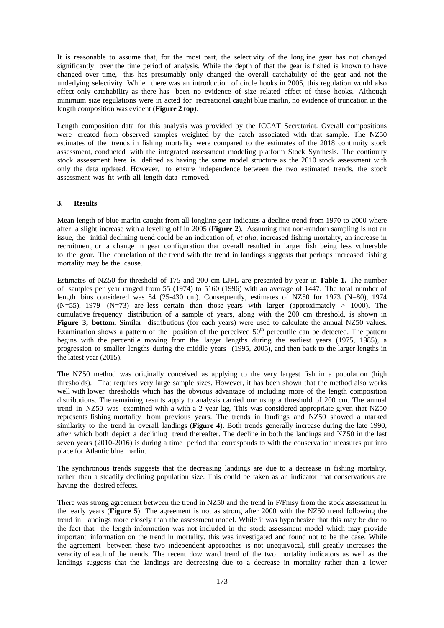It is reasonable to assume that, for the most part, the selectivity of the longline gear has not changed significantly over the time period of analysis. While the depth of that the gear is fished is known to have changed over time, this has presumably only changed the overall catchability of the gear and not the underlying selectivity. While there was an introduction of circle hooks in 2005, this regulation would also effect only catchability as there has been no evidence of size related effect of these hooks. Although minimum size regulations were in acted for recreational caught blue marlin, no evidence of truncation in the length composition was evident (**Figure 2 top**).

Length composition data for this analysis was provided by the ICCAT Secretariat. Overall compositions were created from observed samples weighted by the catch associated with that sample. The NZ50 estimates of the trends in fishing mortality were compared to the estimates of the 2018 continuity stock assessment, conducted with the integrated assessment modeling platform Stock Synthesis. The continuity stock assessment here is defined as having the same model structure as the 2010 stock assessment with only the data updated. However, to ensure independence between the two estimated trends, the stock assessment was fit with all length data removed.

# **3. Results**

Mean length of blue marlin caught from all longline gear indicates a decline trend from 1970 to 2000 where after a slight increase with a leveling off in 2005 (**Figure 2**). Assuming that non-random sampling is not an issue, the initial declining trend could be an indication of, *et alia*, increased fishing mortality, an increase in recruitment, or a change in gear configuration that overall resulted in larger fish being less vulnerable to the gear. The correlation of the trend with the trend in landings suggests that perhaps increased fishing mortality may be the cause.

Estimates of NZ50 for threshold of 175 and 200 cm LJFL are presented by year in **Table 1.** The number of samples per year ranged from 55 (1974) to 5160 (1996) with an average of 1447. The total number of length bins considered was 84 (25-430 cm). Consequently, estimates of NZ50 for 1973 (N=80), 1974  $(N=55)$ , 1979  $(N=73)$  are less certain than those years with larger (approximately > 1000). The cumulative frequency distribution of a sample of years, along with the 200 cm threshold, is shown in **Figure 3, bottom**. Similar distributions (for each years) were used to calculate the annual NZ50 values. Examination shows a pattern of the position of the perceived  $50<sup>th</sup>$  percentile can be detected. The pattern begins with the percentile moving from the larger lengths during the earliest years (1975, 1985), a progression to smaller lengths during the middle years (1995, 2005), and then back to the larger lengths in the latest year (2015).

The NZ50 method was originally conceived as applying to the very largest fish in a population (high thresholds). That requires very large sample sizes. However, it has been shown that the method also works well with lower thresholds which has the obvious advantage of including more of the length composition distributions. The remaining results apply to analysis carried our using a threshold of 200 cm. The annual trend in NZ50 was examined with a with a 2 year lag. This was considered appropriate given that NZ50 represents fishing mortality from previous years. The trends in landings and NZ50 showed a marked similarity to the trend in overall landings (**Figure 4**). Both trends generally increase during the late 1990, after which both depict a declining trend thereafter. The decline in both the landings and NZ50 in the last seven years (2010-2016) is during a time period that corresponds to with the conservation measures put into place for Atlantic blue marlin.

The synchronous trends suggests that the decreasing landings are due to a decrease in fishing mortality, rather than a steadily declining population size. This could be taken as an indicator that conservations are having the desired effects.

There was strong agreement between the trend in NZ50 and the trend in F/Fmsy from the stock assessment in the early years (**Figure 5**). The agreement is not as strong after 2000 with the NZ50 trend following the trend in landings more closely than the assessment model. While it was hypothesize that this may be due to the fact that the length information was not included in the stock assessment model which may provide important information on the trend in mortality, this was investigated and found not to be the case. While the agreement between these two independent approaches is not unequivocal, still greatly increases the veracity of each of the trends. The recent downward trend of the two mortality indicators as well as the landings suggests that the landings are decreasing due to a decrease in mortality rather than a lower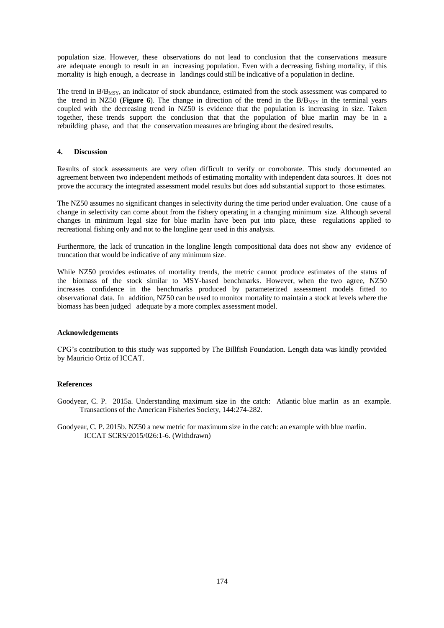population size. However, these observations do not lead to conclusion that the conservations measure are adequate enough to result in an increasing population. Even with a decreasing fishing mortality, if this mortality is high enough, a decrease in landings could still be indicative of a population in decline.

The trend in  $B/B<sub>MSY</sub>$ , an indicator of stock abundance, estimated from the stock assessment was compared to the trend in NZ50 (**Figure 6**). The change in direction of the trend in the  $B/B<sub>MSY</sub>$  in the terminal years coupled with the decreasing trend in NZ50 is evidence that the population is increasing in size. Taken together, these trends support the conclusion that that the population of blue marlin may be in a rebuilding phase, and that the conservation measures are bringing about the desired results.

# **4. Discussion**

Results of stock assessments are very often difficult to verify or corroborate. This study documented an agreement between two independent methods of estimating mortality with independent data sources. It does not prove the accuracy the integrated assessment model results but does add substantial support to those estimates.

The NZ50 assumes no significant changes in selectivity during the time period under evaluation. One cause of a change in selectivity can come about from the fishery operating in a changing minimum size. Although several changes in minimum legal size for blue marlin have been put into place, these regulations applied to recreational fishing only and not to the longline gear used in this analysis.

Furthermore, the lack of truncation in the longline length compositional data does not show any evidence of truncation that would be indicative of any minimum size.

While NZ50 provides estimates of mortality trends, the metric cannot produce estimates of the status of the biomass of the stock similar to MSY-based benchmarks. However, when the two agree, NZ50 increases confidence in the benchmarks produced by parameterized assessment models fitted to observational data. In addition, NZ50 can be used to monitor mortality to maintain a stock at levels where the biomass has been judged adequate by a more complex assessment model.

## **Acknowledgements**

CPG's contribution to this study was supported by The Billfish Foundation. Length data was kindly provided by Mauricio Ortiz of ICCAT.

## **References**

Goodyear, C. P. 2015a. Understanding maximum size in the catch: Atlantic blue marlin as an example. Transactions of the American Fisheries Society, 144:274-282.

Goodyear, C. P. 2015b. NZ50 a new metric for maximum size in the catch: an example with blue marlin. ICCAT SCRS/2015/026:1-6. (Withdrawn)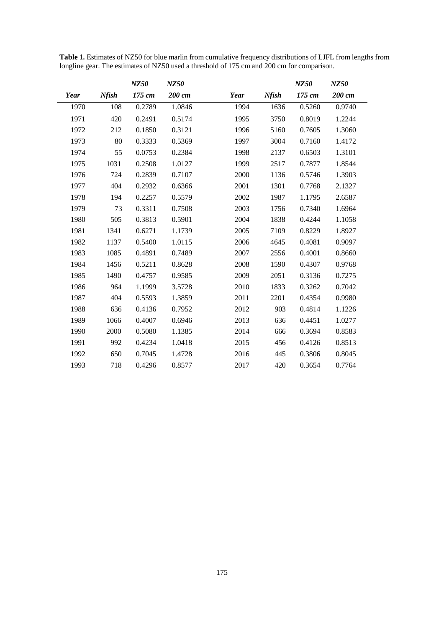|      |              | NZ50   | NZ50   |      |              | NZ50   | NZ50   |
|------|--------------|--------|--------|------|--------------|--------|--------|
| Year | <b>Nfish</b> | 175 cm | 200 cm | Year | <b>Nfish</b> | 175 cm | 200 cm |
| 1970 | 108          | 0.2789 | 1.0846 | 1994 | 1636         | 0.5260 | 0.9740 |
| 1971 | 420          | 0.2491 | 0.5174 | 1995 | 3750         | 0.8019 | 1.2244 |
| 1972 | 212          | 0.1850 | 0.3121 | 1996 | 5160         | 0.7605 | 1.3060 |
| 1973 | 80           | 0.3333 | 0.5369 | 1997 | 3004         | 0.7160 | 1.4172 |
| 1974 | 55           | 0.0753 | 0.2384 | 1998 | 2137         | 0.6503 | 1.3101 |
| 1975 | 1031         | 0.2508 | 1.0127 | 1999 | 2517         | 0.7877 | 1.8544 |
| 1976 | 724          | 0.2839 | 0.7107 | 2000 | 1136         | 0.5746 | 1.3903 |
| 1977 | 404          | 0.2932 | 0.6366 | 2001 | 1301         | 0.7768 | 2.1327 |
| 1978 | 194          | 0.2257 | 0.5579 | 2002 | 1987         | 1.1795 | 2.6587 |
| 1979 | 73           | 0.3311 | 0.7508 | 2003 | 1756         | 0.7340 | 1.6964 |
| 1980 | 505          | 0.3813 | 0.5901 | 2004 | 1838         | 0.4244 | 1.1058 |
| 1981 | 1341         | 0.6271 | 1.1739 | 2005 | 7109         | 0.8229 | 1.8927 |
| 1982 | 1137         | 0.5400 | 1.0115 | 2006 | 4645         | 0.4081 | 0.9097 |
| 1983 | 1085         | 0.4891 | 0.7489 | 2007 | 2556         | 0.4001 | 0.8660 |
| 1984 | 1456         | 0.5211 | 0.8628 | 2008 | 1590         | 0.4307 | 0.9768 |
| 1985 | 1490         | 0.4757 | 0.9585 | 2009 | 2051         | 0.3136 | 0.7275 |
| 1986 | 964          | 1.1999 | 3.5728 | 2010 | 1833         | 0.3262 | 0.7042 |
| 1987 | 404          | 0.5593 | 1.3859 | 2011 | 2201         | 0.4354 | 0.9980 |
| 1988 | 636          | 0.4136 | 0.7952 | 2012 | 903          | 0.4814 | 1.1226 |
| 1989 | 1066         | 0.4007 | 0.6946 | 2013 | 636          | 0.4451 | 1.0277 |
| 1990 | 2000         | 0.5080 | 1.1385 | 2014 | 666          | 0.3694 | 0.8583 |
| 1991 | 992          | 0.4234 | 1.0418 | 2015 | 456          | 0.4126 | 0.8513 |
| 1992 | 650          | 0.7045 | 1.4728 | 2016 | 445          | 0.3806 | 0.8045 |
| 1993 | 718          | 0.4296 | 0.8577 | 2017 | 420          | 0.3654 | 0.7764 |

**Table 1.** Estimates of NZ50 for blue marlin from cumulative frequency distributions of LJFL from lengths from longline gear. The estimates of NZ50 used a threshold of 175 cm and 200 cm for comparison.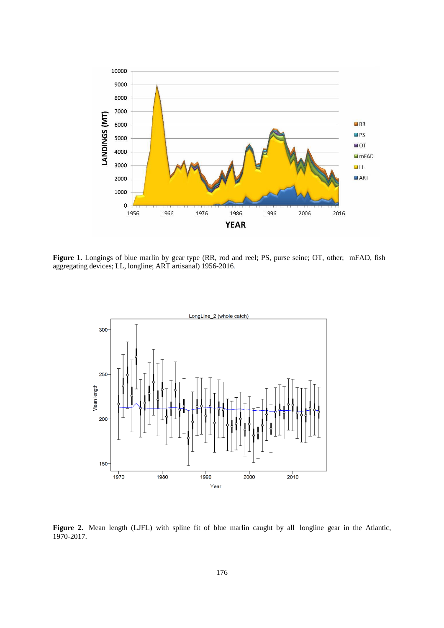

**Figure 1.** Longings of blue marlin by gear type (RR, rod and reel; PS, purse seine; OT, other; mFAD, fish aggregating devices; LL, longline; ART artisanal) 1956-2016.



Figure 2. Mean length (LJFL) with spline fit of blue marlin caught by all longline gear in the Atlantic, 1970-2017.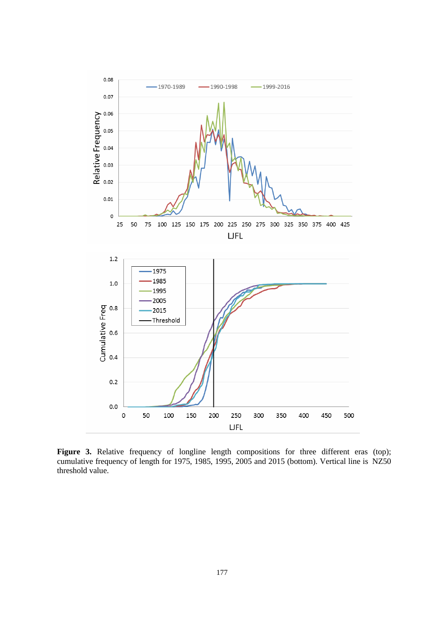

Figure 3. Relative frequency of longline length compositions for three different eras (top); cumulative frequency of length for 1975, 1985, 1995, 2005 and 2015 (bottom). Vertical line is NZ50 threshold value.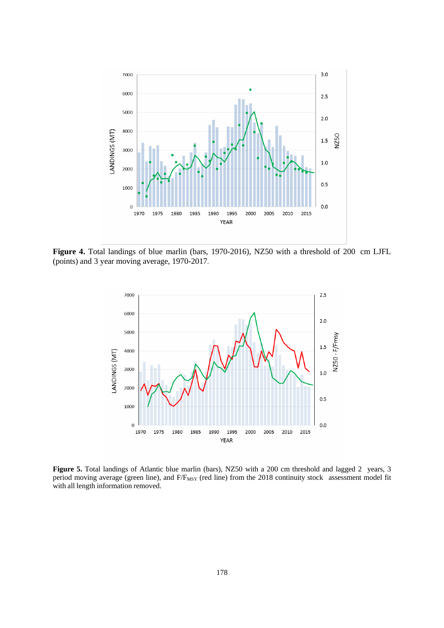

**Figure 4.** Total landings of blue marlin (bars, 1970-2016), NZ50 with a threshold of 200 cm LJFL (points) and 3 year moving average, 1970-2017.



**Figure 5.** Total landings of Atlantic blue marlin (bars), NZ50 with a 200 cm threshold and lagged 2 years, 3 period moving average (green line), and F/F<sub>MSY</sub> (red line) from the 2018 continuity stock assessment model fit with all length information removed.